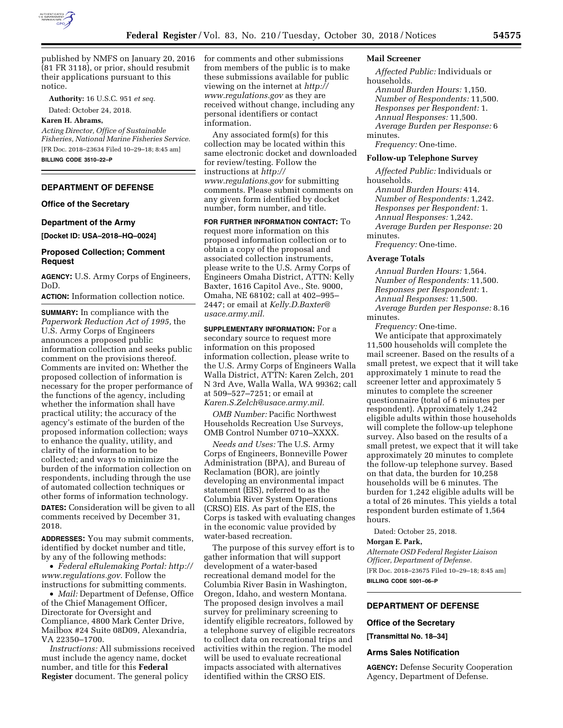

published by NMFS on January 20, 2016 (81 FR 3118), or prior, should resubmit their applications pursuant to this notice.

**Authority:** 16 U.S.C. 951 *et seq.* 

Dated: October 24, 2018.

## **Karen H. Abrams,**

*Acting Director, Office of Sustainable Fisheries, National Marine Fisheries Service.*  [FR Doc. 2018–23634 Filed 10–29–18; 8:45 am] **BILLING CODE 3510–22–P** 

## **DEPARTMENT OF DEFENSE**

## **Office of the Secretary**

### **Department of the Army**

**[Docket ID: USA–2018–HQ–0024]** 

## **Proposed Collection; Comment Request**

**AGENCY:** U.S. Army Corps of Engineers, DoD.

**ACTION:** Information collection notice.

**SUMMARY:** In compliance with the *Paperwork Reduction Act of 1995,* the U.S. Army Corps of Engineers announces a proposed public information collection and seeks public comment on the provisions thereof. Comments are invited on: Whether the proposed collection of information is necessary for the proper performance of the functions of the agency, including whether the information shall have practical utility; the accuracy of the agency's estimate of the burden of the proposed information collection; ways to enhance the quality, utility, and clarity of the information to be collected; and ways to minimize the burden of the information collection on respondents, including through the use of automated collection techniques or other forms of information technology.

**DATES:** Consideration will be given to all comments received by December 31, 2018.

**ADDRESSES:** You may submit comments, identified by docket number and title, by any of the following methods:

• *Federal eRulemaking Portal: [http://](http://www.regulations.gov)  [www.regulations.gov.](http://www.regulations.gov)* Follow the instructions for submitting comments.

• *Mail:* Department of Defense, Office of the Chief Management Officer, Directorate for Oversight and Compliance, 4800 Mark Center Drive, Mailbox #24 Suite 08D09, Alexandria, VA 22350–1700.

*Instructions:* All submissions received must include the agency name, docket number, and title for this **Federal Register** document. The general policy

for comments and other submissions from members of the public is to make these submissions available for public viewing on the internet at *[http://](http://www.regulations.gov) [www.regulations.gov](http://www.regulations.gov)* as they are received without change, including any personal identifiers or contact information.

Any associated form(s) for this collection may be located within this same electronic docket and downloaded for review/testing. Follow the instructions at *[http://](http://www.regulations.gov) [www.regulations.gov](http://www.regulations.gov)* for submitting comments. Please submit comments on any given form identified by docket number, form number, and title.

**FOR FURTHER INFORMATION CONTACT:** To request more information on this proposed information collection or to obtain a copy of the proposal and associated collection instruments, please write to the U.S. Army Corps of Engineers Omaha District, ATTN: Kelly Baxter, 1616 Capitol Ave., Ste. 9000, Omaha, NE 68102; call at 402–995– 2447; or email at *[Kelly.D.Baxter@](mailto:Kelly.D.Baxter@usace.army.mil) [usace.army.mil.](mailto:Kelly.D.Baxter@usace.army.mil)* 

**SUPPLEMENTARY INFORMATION:** For a secondary source to request more information on this proposed information collection, please write to the U.S. Army Corps of Engineers Walla Walla District, ATTN: Karen Zelch, 201 N 3rd Ave, Walla Walla, WA 99362; call at 509–527–7251; or email at *[Karen.S.Zelch@usace.army.mil.](mailto:Karen.S.Zelch@usace.army.mil)* 

*OMB Number:* Pacific Northwest Households Recreation Use Surveys, OMB Control Number 0710–XXXX.

*Needs and Uses:* The U.S. Army Corps of Engineers, Bonneville Power Administration (BPA), and Bureau of Reclamation (BOR), are jointly developing an environmental impact statement (EIS), referred to as the Columbia River System Operations (CRSO) EIS. As part of the EIS, the Corps is tasked with evaluating changes in the economic value provided by water-based recreation.

The purpose of this survey effort is to gather information that will support development of a water-based recreational demand model for the Columbia River Basin in Washington, Oregon, Idaho, and western Montana. The proposed design involves a mail survey for preliminary screening to identify eligible recreators, followed by a telephone survey of eligible recreators to collect data on recreational trips and activities within the region. The model will be used to evaluate recreational impacts associated with alternatives identified within the CRSO EIS.

### **Mail Screener**

*Affected Public:* Individuals or households. *Annual Burden Hours:* 1,150. *Number of Respondents:* 11,500. *Responses per Respondent:* 1. *Annual Responses:* 11,500. *Average Burden per Response:* 6 minutes.

*Frequency:* One-time.

## **Follow-up Telephone Survey**

*Affected Public:* Individuals or households.

*Annual Burden Hours:* 414. *Number of Respondents:* 1,242. *Responses per Respondent:* 1. *Annual Responses:* 1,242. *Average Burden per Response:* 20 minutes.

*Frequency:* One-time.

#### **Average Totals**

*Annual Burden Hours:* 1,564. *Number of Respondents:* 11,500. *Responses per Respondent:* 1. *Annual Responses:* 11,500. *Average Burden per Response:* 8.16 minutes.

*Frequency:* One-time.

We anticipate that approximately 11,500 households will complete the mail screener. Based on the results of a small pretest, we expect that it will take approximately 1 minute to read the screener letter and approximately 5 minutes to complete the screener questionnaire (total of 6 minutes per respondent). Approximately 1,242 eligible adults within those households will complete the follow-up telephone survey. Also based on the results of a small pretest, we expect that it will take approximately 20 minutes to complete the follow-up telephone survey. Based on that data, the burden for 10,258 households will be 6 minutes. The burden for 1,242 eligible adults will be a total of 26 minutes. This yields a total respondent burden estimate of 1,564 hours.

Dated: October 25, 2018.

### **Morgan E. Park,**

*Alternate OSD Federal Register Liaison Officer, Department of Defense.*  [FR Doc. 2018–23675 Filed 10–29–18; 8:45 am] **BILLING CODE 5001–06–P** 

## **DEPARTMENT OF DEFENSE**

## **Office of the Secretary**

**[Transmittal No. 18–34]** 

## **Arms Sales Notification**

**AGENCY:** Defense Security Cooperation Agency, Department of Defense.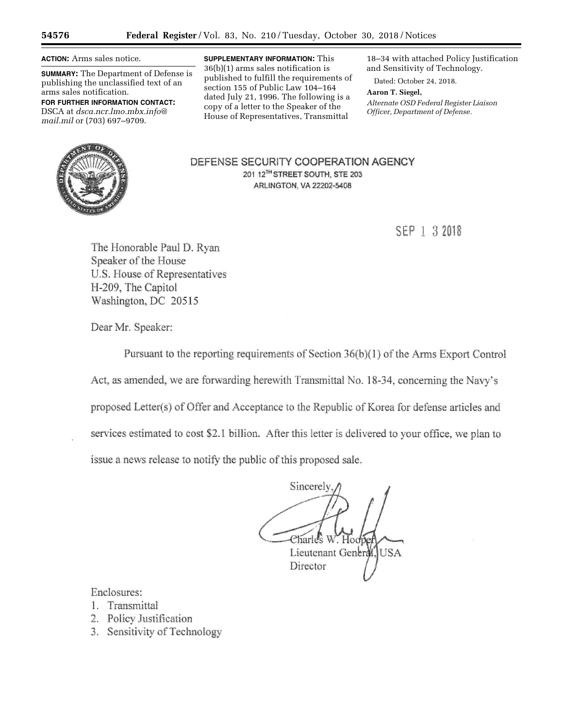**ACTION:** Arms sales notice.

**SUMMARY:** The Department of Defense is publishing the unclassified text of an arms sales notification.

**FOR FURTHER INFORMATION CONTACT:**  DSCA at *[dsca.ncr.lmo.mbx.info@](mailto:dsca.ncr.lmo.mbx.info@mail.mil) [mail.mil](mailto:dsca.ncr.lmo.mbx.info@mail.mil)* or (703) 697–9709.

**SUPPLEMENTARY INFORMATION:** This 36(b)(1) arms sales notification is published to fulfill the requirements of section 155 of Public Law 104–164 dated July 21, 1996. The following is a copy of a letter to the Speaker of the House of Representatives, Transmittal

18–34 with attached Policy Justification and Sensitivity of Technology.

Dated: October 24, 2018.

**Aaron T. Siegel,**  *Alternate OSD Federal Register Liaison Officer, Department of Defense.* 



DEFENSE SECURITY COOPERATION AGENCY 201 12<sup>TH</sup> STREET SOUTH, STE 203 **ARLINGTON, VA 22202-5408** 

SEP 1 3 2018

The Honorable Paul D. Ryan Speaker of the House U.S. House of Representatives H-209, The Capitol Washington, DC 20515

Dear Mr. Speaker:

Pursuant to the reporting requirements of Section 36(b)(1) of the Arms Export Control

Act, as amended, we are forwarding herewith Transmittal No. 18-34, concerning the Navy's

proposed Letter(s) of Offer and Acceptance to the Republic of Korea for defense articles and

services estimated to cost \$2.1 billion. After this letter is delivered to your office, we plan to

issue a news release to notify the public of this proposed sale.

Sincerely  $C$ harl $\ell$ s W $\check{ }$  Hor $\ell$ Lieutenant Generall USA Director

Enclosures:

- 1. Transmittal
- 2. Policy Justification
- 3. Sensitivity of Technology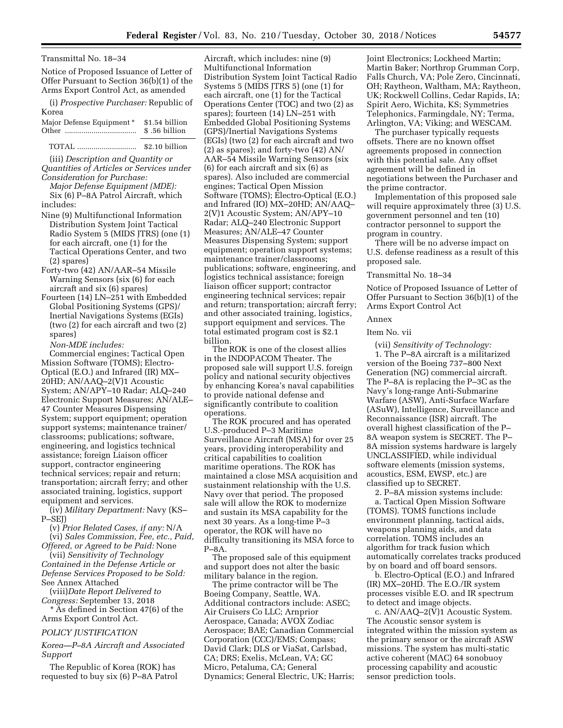Notice of Proposed Issuance of Letter of Offer Pursuant to Section 36(b)(1) of the Arms Export Control Act, as amended

| (i) <i>Prospective Purchaser:</i> Republic of |                |
|-----------------------------------------------|----------------|
| Korea                                         |                |
| Major Defense Equipment *                     | \$1.54 billion |
|                                               | \$.56 billion  |

# TOTAL ............................. \$2.10 billion

(iii) *Description and Quantity or Quantities of Articles or Services under Consideration for Purchase:* 

*Major Defense Equipment (MDE):*  Six (6) P–8A Patrol Aircraft, which includes:

- Nine (9) Multifunctional Information Distribution System Joint Tactical Radio System 5 (MIDS JTRS) (one (1) for each aircraft, one (1) for the Tactical Operations Center, and two (2) spares)
- Forty-two (42) AN/AAR–54 Missile Warning Sensors (six (6) for each aircraft and six (6) spares)
- Fourteen (14) LN–251 with Embedded Global Positioning Systems (GPS)/ Inertial Navigations Systems (EGIs) (two (2) for each aircraft and two (2) spares)

*Non-MDE includes:* 

Commercial engines; Tactical Open Mission Software (TOMS); Electro-Optical (E.O.) and Infrared (IR) MX– 20HD; AN/AAQ–2(V)1 Acoustic System; AN/APY–10 Radar; ALQ–240 Electronic Support Measures; AN/ALE– 47 Counter Measures Dispensing System; support equipment; operation support systems; maintenance trainer/ classrooms; publications; software, engineering, and logistics technical assistance; foreign Liaison officer support, contractor engineering technical services; repair and return; transportation; aircraft ferry; and other associated training, logistics, support equipment and services.

(iv) *Military Department:* Navy (KS– P–SEJ)

(v) *Prior Related Cases, if any:* N/A (vi) *Sales Commission, Fee, etc., Paid,* 

*Offered, or Agreed to be Paid:* None (vii) *Sensitivity of Technology Contained in the Defense Article or Defense Services Proposed to be Sold:* 

See Annex Attached (viii)*Date Report Delivered to Congress:* September 13, 2018

\* As defined in Section 47(6) of the Arms Export Control Act.

## *POLICY JUSTIFICATION*

*Korea—P–8A Aircraft and Associated Support* 

The Republic of Korea (ROK) has requested to buy six (6) P–8A Patrol

Aircraft, which includes: nine (9) Multifunctional Information Distribution System Joint Tactical Radio Systems 5 (MIDS JTRS 5) (one (1) for each aircraft, one (1) for the Tactical Operations Center (TOC) and two (2) as spares); fourteen (14) LN–251 with Embedded Global Positioning Systems (GPS)/Inertial Navigations Systems (EGIs) (two (2) for each aircraft and two (2) as spares); and forty-two (42) AN/ AAR–54 Missile Warning Sensors (six (6) for each aircraft and six (6) as spares). Also included are commercial engines; Tactical Open Mission Software (TOMS); Electro-Optical (E.O.) and Infrared (IO) MX–20HD; AN/AAQ– 2(V)1 Acoustic System; AN/APY–10 Radar; ALQ–240 Electronic Support Measures; AN/ALE–47 Counter Measures Dispensing System; support equipment; operation support systems; maintenance trainer/classrooms; publications; software, engineering, and logistics technical assistance; foreign liaison officer support; contractor engineering technical services; repair and return; transportation; aircraft ferry; and other associated training, logistics, support equipment and services. The total estimated program cost is \$2.1 billion.

The ROK is one of the closest allies in the INDOPACOM Theater. The proposed sale will support U.S. foreign policy and national security objectives by enhancing Korea's naval capabilities to provide national defense and significantly contribute to coalition operations.

The ROK procured and has operated U.S.-produced P–3 Maritime Surveillance Aircraft (MSA) for over 25 years, providing interoperability and critical capabilities to coalition maritime operations. The ROK has maintained a close MSA acquisition and sustainment relationship with the U.S. Navy over that period. The proposed sale will allow the ROK to modernize and sustain its MSA capability for the next 30 years. As a long-time P–3 operator, the ROK will have no difficulty transitioning its MSA force to  $P-8A$ .

The proposed sale of this equipment and support does not alter the basic military balance in the region.

The prime contractor will be The Boeing Company, Seattle, WA. Additional contractors include: ASEC; Air Cruisers Co LLC; Arnprior Aerospace, Canada; AVOX Zodiac Aerospace; BAE; Canadian Commercial Corporation (CCC)/EMS; Compass; David Clark; DLS or ViaSat, Carlsbad, CA; DRS; Exelis, McLean, VA; GC Micro, Petaluma, CA; General Dynamics; General Electric, UK; Harris;

Joint Electronics; Lockheed Martin; Martin Baker; Northrop Grumman Corp, Falls Church, VA; Pole Zero, Cincinnati, OH; Raytheon, Waltham, MA; Raytheon, UK; Rockwell Collins, Cedar Rapids, IA; Spirit Aero, Wichita, KS; Symmetries Telephonics, Farmingdale, NY; Terma, Arlington, VA; Viking; and WESCAM.

The purchaser typically requests offsets. There are no known offset agreements proposed in connection with this potential sale. Any offset agreement will be defined in negotiations between the Purchaser and the prime contractor.

Implementation of this proposed sale will require approximately three (3) U.S. government personnel and ten (10) contractor personnel to support the program in country.

There will be no adverse impact on U.S. defense readiness as a result of this proposed sale.

## Transmittal No. 18–34

Notice of Proposed Issuance of Letter of Offer Pursuant to Section 36(b)(1) of the Arms Export Control Act

## Annex

## Item No. vii

(vii) *Sensitivity of Technology:*  1. The P–8A aircraft is a militarized version of the Boeing 737–800 Next Generation (NG) commercial aircraft. The P–8A is replacing the P–3C as the Navy's long-range Anti-Submarine Warfare (ASW), Anti-Surface Warfare (ASuW), Intelligence, Surveillance and Reconnaissance (ISR) aircraft. The overall highest classification of the P– 8A weapon system is SECRET. The P– 8A mission systems hardware is largely UNCLASSIFIED, while individual software elements (mission systems, acoustics, ESM, EWSP, etc.) are classified up to SECRET.

2. P–8A mission systems include: a. Tactical Open Mission Software (TOMS). TOMS functions include environment planning, tactical aids, weapons planning aids, and data correlation. TOMS includes an algorithm for track fusion which automatically correlates tracks produced by on board and off board sensors.

b. Electro-Optical (E.O.) and Infrared (IR) MX–20HD. The E.O./IR system processes visible E.O. and IR spectrum to detect and image objects.

c. AN/AAQ–2(V)1 Acoustic System. The Acoustic sensor system is integrated within the mission system as the primary sensor or the aircraft ASW missions. The system has multi-static active coherent (MAC) 64 sonobuoy processing capability and acoustic sensor prediction tools.